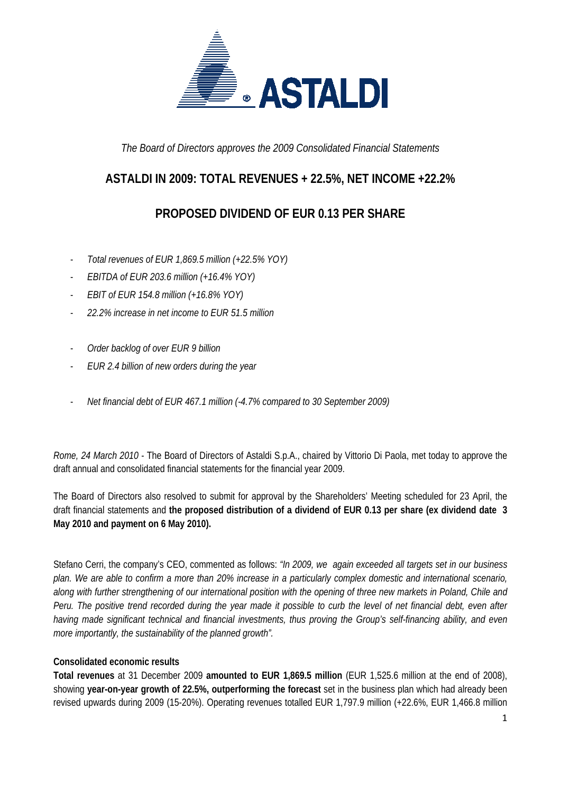

*The Board of Directors approves the 2009 Consolidated Financial Statements* 

### **ASTALDI IN 2009: TOTAL REVENUES + 22.5%, NET INCOME +22.2%**

## **PROPOSED DIVIDEND OF EUR 0.13 PER SHARE**

- *Total revenues of EUR 1,869.5 million (+22.5% YOY)*
- *EBITDA of EUR 203.6 million (+16.4% YOY)*
- *EBIT of EUR 154.8 million (+16.8% YOY)*
- *22.2% increase in net income to EUR 51.5 million*
- *Order backlog of over EUR 9 billion*
- *EUR 2.4 billion of new orders during the year*
- *Net financial debt of EUR 467.1 million (-4.7% compared to 30 September 2009)*

*Rome, 24 March 2010* - The Board of Directors of Astaldi S.p.A., chaired by Vittorio Di Paola, met today to approve the draft annual and consolidated financial statements for the financial year 2009.

The Board of Directors also resolved to submit for approval by the Shareholders' Meeting scheduled for 23 April, the draft financial statements and **the proposed distribution of a dividend of EUR 0.13 per share (ex dividend date 3 May 2010 and payment on 6 May 2010).**

Stefano Cerri, the company's CEO, commented as follows: *"In 2009, we again exceeded all targets set in our business plan. We are able to confirm a more than 20% increase in a particularly complex domestic and international scenario, along with further strengthening of our international position with the opening of three new markets in Poland, Chile and Peru. The positive trend recorded during the year made it possible to curb the level of net financial debt, even after having made significant technical and financial investments, thus proving the Group's self-financing ability, and even more importantly, the sustainability of the planned growth".* 

### **Consolidated economic results**

**Total revenues** at 31 December 2009 **amounted to EUR 1,869.5 million** (EUR 1,525.6 million at the end of 2008), showing **year-on-year growth of 22.5%, outperforming the forecast** set in the business plan which had already been revised upwards during 2009 (15-20%). Operating revenues totalled EUR 1,797.9 million (+22.6%, EUR 1,466.8 million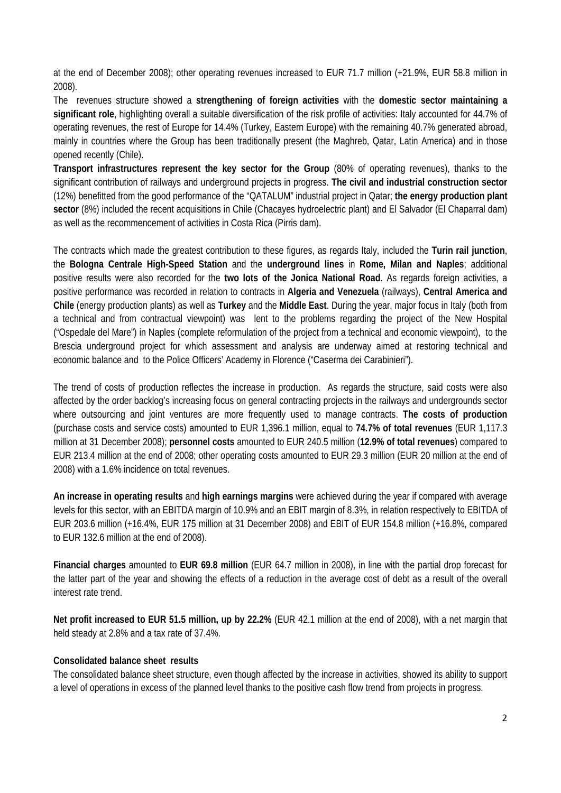at the end of December 2008); other operating revenues increased to EUR 71.7 million (+21.9%, EUR 58.8 million in 2008).

The revenues structure showed a **strengthening of foreign activities** with the **domestic sector maintaining a significant role**, highlighting overall a suitable diversification of the risk profile of activities: Italy accounted for 44.7% of operating revenues, the rest of Europe for 14.4% (Turkey, Eastern Europe) with the remaining 40.7% generated abroad, mainly in countries where the Group has been traditionally present (the Maghreb, Qatar, Latin America) and in those opened recently (Chile).

**Transport infrastructures represent the key sector for the Group** (80% of operating revenues), thanks to the significant contribution of railways and underground projects in progress. **The civil and industrial construction sector** (12%) benefitted from the good performance of the "QATALUM" industrial project in Qatar; **the energy production plant sector** (8%) included the recent acquisitions in Chile (Chacayes hydroelectric plant) and El Salvador (El Chaparral dam) as well as the recommencement of activities in Costa Rica (Pirris dam).

The contracts which made the greatest contribution to these figures, as regards Italy, included the **Turin rail junction**, the **Bologna Centrale High-Speed Station** and the **underground lines** in **Rome, Milan and Naples**; additional positive results were also recorded for the **two lots of the Jonica National Road**. As regards foreign activities, a positive performance was recorded in relation to contracts in **Algeria and Venezuela** (railways), **Central America and Chile** (energy production plants) as well as **Turkey** and the **Middle East**. During the year, major focus in Italy (both from a technical and from contractual viewpoint) was lent to the problems regarding the project of the New Hospital ("Ospedale del Mare") in Naples (complete reformulation of the project from a technical and economic viewpoint), to the Brescia underground project for which assessment and analysis are underway aimed at restoring technical and economic balance and to the Police Officers' Academy in Florence ("Caserma dei Carabinieri").

The trend of costs of production reflectes the increase in production. As regards the structure, said costs were also affected by the order backlog's increasing focus on general contracting projects in the railways and undergrounds sector where outsourcing and joint ventures are more frequently used to manage contracts. **The costs of production**  (purchase costs and service costs) amounted to EUR 1,396.1 million, equal to **74.7% of total revenues** (EUR 1,117.3 million at 31 December 2008); **personnel costs** amounted to EUR 240.5 million (**12.9% of total revenues**) compared to EUR 213.4 million at the end of 2008; other operating costs amounted to EUR 29.3 million (EUR 20 million at the end of 2008) with a 1.6% incidence on total revenues.

**An increase in operating results** and **high earnings margins** were achieved during the year if compared with average levels for this sector, with an EBITDA margin of 10.9% and an EBIT margin of 8.3%, in relation respectively to EBITDA of EUR 203.6 million (+16.4%, EUR 175 million at 31 December 2008) and EBIT of EUR 154.8 million (+16.8%, compared to EUR 132.6 million at the end of 2008).

**Financial charges** amounted to **EUR 69.8 million** (EUR 64.7 million in 2008), in line with the partial drop forecast for the latter part of the year and showing the effects of a reduction in the average cost of debt as a result of the overall interest rate trend.

**Net profit increased to EUR 51.5 million, up by 22.2%** (EUR 42.1 million at the end of 2008), with a net margin that held steady at 2.8% and a tax rate of 37.4%.

#### **Consolidated balance sheet results**

The consolidated balance sheet structure, even though affected by the increase in activities, showed its ability to support a level of operations in excess of the planned level thanks to the positive cash flow trend from projects in progress.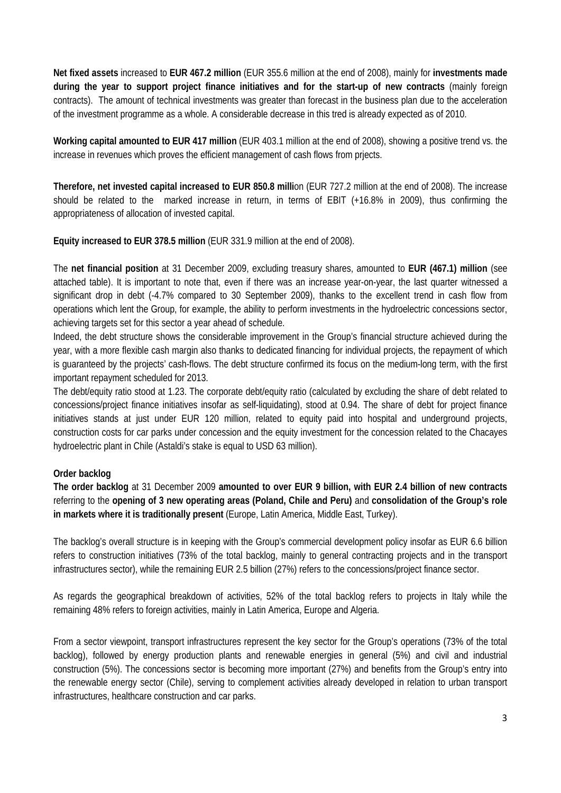**Net fixed assets** increased to **EUR 467.2 million** (EUR 355.6 million at the end of 2008), mainly for **investments made during the year to support project finance initiatives and for the start-up of new contracts** (mainly foreign contracts). The amount of technical investments was greater than forecast in the business plan due to the acceleration of the investment programme as a whole. A considerable decrease in this tred is already expected as of 2010.

**Working capital amounted to EUR 417 million** (EUR 403.1 million at the end of 2008), showing a positive trend vs. the increase in revenues which proves the efficient management of cash flows from prjects.

**Therefore, net invested capital increased to EUR 850.8 milli**on (EUR 727.2 million at the end of 2008). The increase should be related to the marked increase in return, in terms of EBIT (+16.8% in 2009), thus confirming the appropriateness of allocation of invested capital.

**Equity increased to EUR 378.5 million** (EUR 331.9 million at the end of 2008).

The **net financial position** at 31 December 2009, excluding treasury shares, amounted to **EUR (467.1) million** (see attached table). It is important to note that, even if there was an increase year-on-year, the last quarter witnessed a significant drop in debt (-4.7% compared to 30 September 2009), thanks to the excellent trend in cash flow from operations which lent the Group, for example, the ability to perform investments in the hydroelectric concessions sector, achieving targets set for this sector a year ahead of schedule.

Indeed, the debt structure shows the considerable improvement in the Group's financial structure achieved during the year, with a more flexible cash margin also thanks to dedicated financing for individual projects, the repayment of which is guaranteed by the projects' cash-flows. The debt structure confirmed its focus on the medium-long term, with the first important repayment scheduled for 2013.

The debt/equity ratio stood at 1.23. The corporate debt/equity ratio (calculated by excluding the share of debt related to concessions/project finance initiatives insofar as self-liquidating), stood at 0.94. The share of debt for project finance initiatives stands at just under EUR 120 million, related to equity paid into hospital and underground projects, construction costs for car parks under concession and the equity investment for the concession related to the Chacayes hydroelectric plant in Chile (Astaldi's stake is equal to USD 63 million).

### **Order backlog**

**The order backlog** at 31 December 2009 **amounted to over EUR 9 billion, with EUR 2.4 billion of new contracts** referring to the **opening of 3 new operating areas (Poland, Chile and Peru)** and **consolidation of the Group's role in markets where it is traditionally present** (Europe, Latin America, Middle East, Turkey).

The backlog's overall structure is in keeping with the Group's commercial development policy insofar as EUR 6.6 billion refers to construction initiatives (73% of the total backlog, mainly to general contracting projects and in the transport infrastructures sector), while the remaining EUR 2.5 billion (27%) refers to the concessions/project finance sector.

As regards the geographical breakdown of activities, 52% of the total backlog refers to projects in Italy while the remaining 48% refers to foreign activities, mainly in Latin America, Europe and Algeria.

From a sector viewpoint, transport infrastructures represent the key sector for the Group's operations (73% of the total backlog), followed by energy production plants and renewable energies in general (5%) and civil and industrial construction (5%). The concessions sector is becoming more important (27%) and benefits from the Group's entry into the renewable energy sector (Chile), serving to complement activities already developed in relation to urban transport infrastructures, healthcare construction and car parks.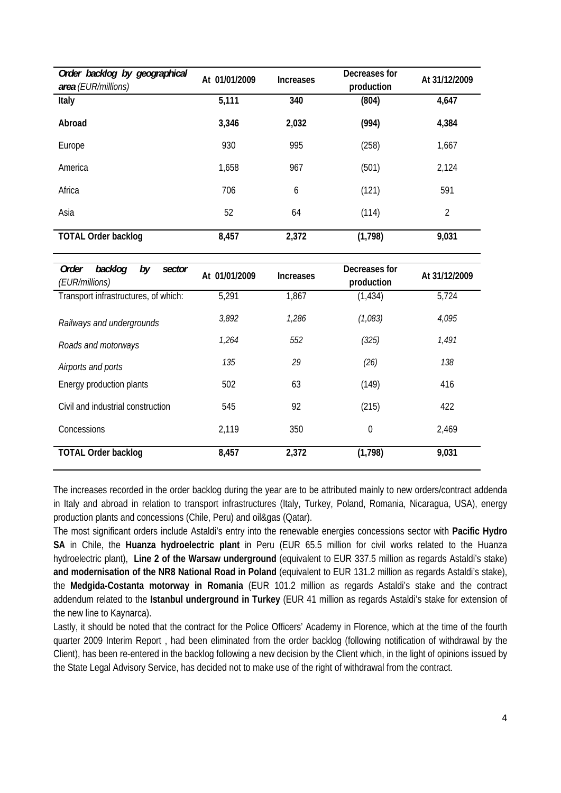| Order backlog by geographical<br>area (EUR/millions) | At 01/01/2009 | <b>Increases</b> | Decreases for<br>production | At 31/12/2009  |
|------------------------------------------------------|---------------|------------------|-----------------------------|----------------|
| Italy                                                | 5,111         | 340              | (804)                       | 4,647          |
| Abroad                                               | 3,346         | 2,032            | (994)                       | 4,384          |
| Europe                                               | 930           | 995              | (258)                       | 1,667          |
| America                                              | 1,658         | 967              | (501)                       | 2,124          |
| Africa                                               | 706           | 6                | (121)                       | 591            |
| Asia                                                 | 52            | 64               | (114)                       | $\overline{2}$ |
| <b>TOTAL Order backlog</b>                           | 8,457         | 2,372            | (1,798)                     | 9,031          |

| backlog<br>Order<br>by<br>sector<br>(EUR/millions) | At 01/01/2009 | <b>Increases</b> | Decreases for<br>production | At 31/12/2009 |
|----------------------------------------------------|---------------|------------------|-----------------------------|---------------|
| Transport infrastructures, of which:               | 5,291         | 1,867            | (1, 434)                    | 5,724         |
| Railways and undergrounds                          | 3,892         | 1,286            | (1,083)                     | 4,095         |
| Roads and motorways                                | 1,264         | 552              | (325)                       | 1,491         |
| Airports and ports                                 | 135           | 29               | (26)                        | 138           |
| Energy production plants                           | 502           | 63               | (149)                       | 416           |
| Civil and industrial construction                  | 545           | 92               | (215)                       | 422           |
| Concessions                                        | 2,119         | 350              | 0                           | 2,469         |
| <b>TOTAL Order backlog</b>                         | 8,457         | 2,372            | (1,798)                     | 9,031         |

The increases recorded in the order backlog during the year are to be attributed mainly to new orders/contract addenda in Italy and abroad in relation to transport infrastructures (Italy, Turkey, Poland, Romania, Nicaragua, USA), energy production plants and concessions (Chile, Peru) and oil&gas (Qatar).

The most significant orders include Astaldi's entry into the renewable energies concessions sector with **Pacific Hydro SA** in Chile, the **Huanza hydroelectric plant** in Peru (EUR 65.5 million for civil works related to the Huanza hydroelectric plant), **Line 2 of the Warsaw underground** (equivalent to EUR 337.5 million as regards Astaldi's stake) **and modernisation of the NR8 National Road in Poland** (equivalent to EUR 131.2 million as regards Astaldi's stake), the **Medgida-Costanta motorway in Romania** (EUR 101.2 million as regards Astaldi's stake and the contract addendum related to the **Istanbul underground in Turkey** (EUR 41 million as regards Astaldi's stake for extension of the new line to Kaynarca).

Lastly, it should be noted that the contract for the Police Officers' Academy in Florence, which at the time of the fourth quarter 2009 Interim Report , had been eliminated from the order backlog (following notification of withdrawal by the Client), has been re-entered in the backlog following a new decision by the Client which, in the light of opinions issued by the State Legal Advisory Service, has decided not to make use of the right of withdrawal from the contract.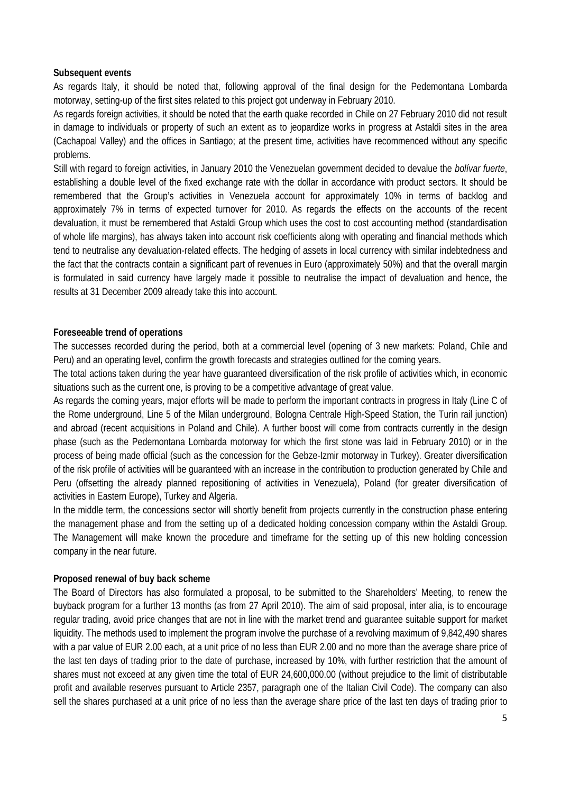#### **Subsequent events**

As regards Italy, it should be noted that, following approval of the final design for the Pedemontana Lombarda motorway, setting-up of the first sites related to this project got underway in February 2010.

As regards foreign activities, it should be noted that the earth quake recorded in Chile on 27 February 2010 did not result in damage to individuals or property of such an extent as to jeopardize works in progress at Astaldi sites in the area (Cachapoal Valley) and the offices in Santiago; at the present time, activities have recommenced without any specific problems.

Still with regard to foreign activities, in January 2010 the Venezuelan government decided to devalue the *bolívar fuerte*, establishing a double level of the fixed exchange rate with the dollar in accordance with product sectors. It should be remembered that the Group's activities in Venezuela account for approximately 10% in terms of backlog and approximately 7% in terms of expected turnover for 2010. As regards the effects on the accounts of the recent devaluation, it must be remembered that Astaldi Group which uses the cost to cost accounting method (standardisation of whole life margins), has always taken into account risk coefficients along with operating and financial methods which tend to neutralise any devaluation-related effects. The hedging of assets in local currency with similar indebtedness and the fact that the contracts contain a significant part of revenues in Euro (approximately 50%) and that the overall margin is formulated in said currency have largely made it possible to neutralise the impact of devaluation and hence, the results at 31 December 2009 already take this into account.

#### **Foreseeable trend of operations**

The successes recorded during the period, both at a commercial level (opening of 3 new markets: Poland, Chile and Peru) and an operating level, confirm the growth forecasts and strategies outlined for the coming years.

The total actions taken during the year have guaranteed diversification of the risk profile of activities which, in economic situations such as the current one, is proving to be a competitive advantage of great value.

As regards the coming years, major efforts will be made to perform the important contracts in progress in Italy (Line C of the Rome underground, Line 5 of the Milan underground, Bologna Centrale High-Speed Station, the Turin rail junction) and abroad (recent acquisitions in Poland and Chile). A further boost will come from contracts currently in the design phase (such as the Pedemontana Lombarda motorway for which the first stone was laid in February 2010) or in the process of being made official (such as the concession for the Gebze-Izmir motorway in Turkey). Greater diversification of the risk profile of activities will be guaranteed with an increase in the contribution to production generated by Chile and Peru (offsetting the already planned repositioning of activities in Venezuela), Poland (for greater diversification of activities in Eastern Europe), Turkey and Algeria.

In the middle term, the concessions sector will shortly benefit from projects currently in the construction phase entering the management phase and from the setting up of a dedicated holding concession company within the Astaldi Group. The Management will make known the procedure and timeframe for the setting up of this new holding concession company in the near future.

#### **Proposed renewal of buy back scheme**

The Board of Directors has also formulated a proposal, to be submitted to the Shareholders' Meeting, to renew the buyback program for a further 13 months (as from 27 April 2010). The aim of said proposal, inter alia, is to encourage regular trading, avoid price changes that are not in line with the market trend and guarantee suitable support for market liquidity. The methods used to implement the program involve the purchase of a revolving maximum of 9,842,490 shares with a par value of EUR 2.00 each, at a unit price of no less than EUR 2.00 and no more than the average share price of the last ten days of trading prior to the date of purchase, increased by 10%, with further restriction that the amount of shares must not exceed at any given time the total of EUR 24,600,000.00 (without prejudice to the limit of distributable profit and available reserves pursuant to Article 2357, paragraph one of the Italian Civil Code). The company can also sell the shares purchased at a unit price of no less than the average share price of the last ten days of trading prior to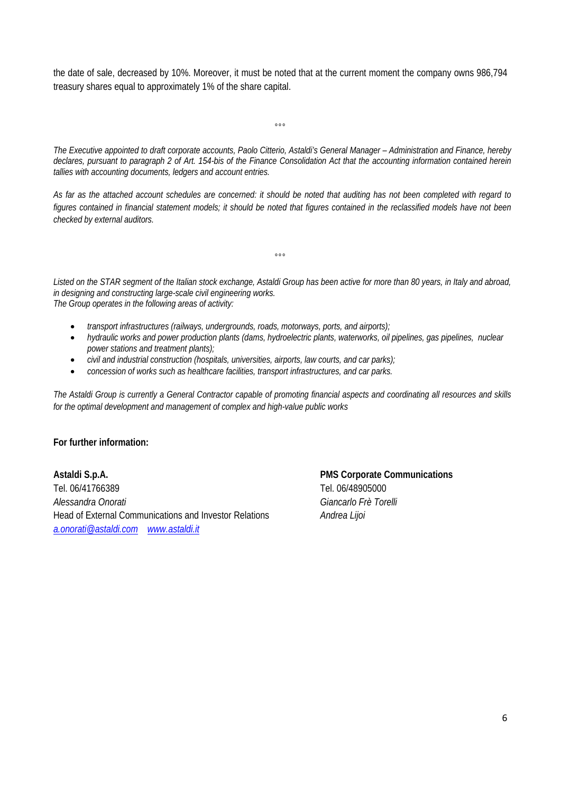the date of sale, decreased by 10%. Moreover, it must be noted that at the current moment the company owns 986,794 treasury shares equal to approximately 1% of the share capital.

 $^{\circ}$ °

*The Executive appointed to draft corporate accounts, Paolo Citterio, Astaldi's General Manager – Administration and Finance, hereby declares, pursuant to paragraph 2 of Art. 154-bis of the Finance Consolidation Act that the accounting information contained herein tallies with accounting documents, ledgers and account entries.* 

*As far as the attached account schedules are concerned: it should be noted that auditing has not been completed with regard to figures contained in financial statement models; it should be noted that figures contained in the reclassified models have not been checked by external auditors.* 

*Listed on the STAR segment of the Italian stock exchange, Astaldi Group has been active for more than 80 years, in Italy and abroad, in designing and constructing large-scale civil engineering works. The Group operates in the following areas of activity:* 

 $^{\circ}$ °

- *transport infrastructures (railways, undergrounds, roads, motorways, ports, and airports);*
- *hydraulic works and power production plants (dams, hydroelectric plants, waterworks, oil pipelines, gas pipelines, nuclear power stations and treatment plants);*
- *civil and industrial construction (hospitals, universities, airports, law courts, and car parks);*
- *concession of works such as healthcare facilities, transport infrastructures, and car parks.*

*The Astaldi Group is currently a General Contractor capable of promoting financial aspects and coordinating all resources and skills for the optimal development and management of complex and high-value public works*

#### **For further information:**

**Astaldi S.p.A. PMS Corporate Communications**  Tel. 06/41766389 Tel. 06/48905000 *Alessandra Onorati Giancarlo Frè Torelli* Head of External Communications and Investor Relations *Andrea Lijoi a.onorati@astaldi.com www.astaldi.it*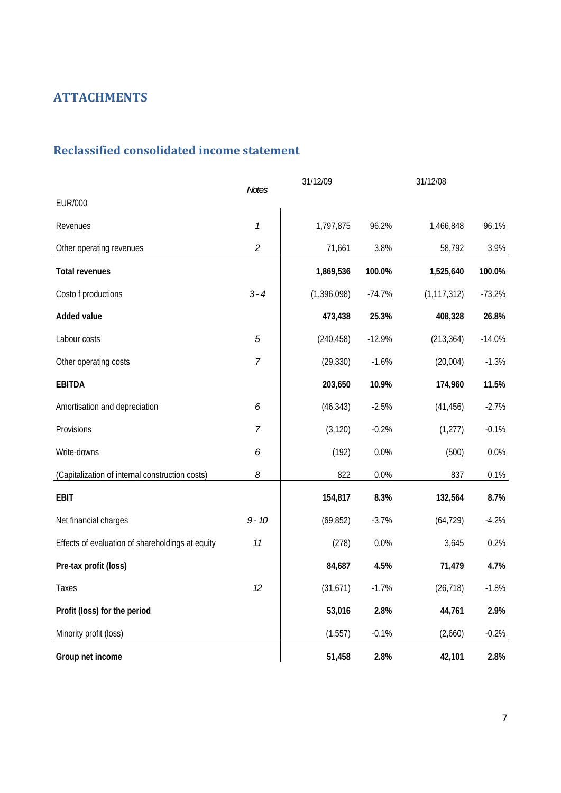# **ATTACHMENTS**

## **Reclassified consolidated income statement**

| <b>Notes</b>                                     |                             | 31/12/09      |          | 31/12/08      |          |
|--------------------------------------------------|-----------------------------|---------------|----------|---------------|----------|
| <b>EUR/000</b>                                   |                             |               |          |               |          |
| Revenues                                         | $\mathcal{I}$               | 1,797,875     | 96.2%    | 1,466,848     | 96.1%    |
| Other operating revenues                         | $\mathcal{L}_{\mathcal{L}}$ | 71,661        | 3.8%     | 58,792        | 3.9%     |
| <b>Total revenues</b>                            |                             | 1,869,536     | 100.0%   | 1,525,640     | 100.0%   |
| Costo f productions                              | $3 - 4$                     | (1, 396, 098) | $-74.7%$ | (1, 117, 312) | $-73.2%$ |
| <b>Added value</b>                               |                             | 473,438       | 25.3%    | 408,328       | 26.8%    |
| Labour costs                                     | $\sqrt{5}$                  | (240, 458)    | $-12.9%$ | (213, 364)    | $-14.0%$ |
| Other operating costs                            | $\overline{7}$              | (29, 330)     | $-1.6%$  | (20,004)      | $-1.3%$  |
| <b>EBITDA</b>                                    |                             | 203,650       | 10.9%    | 174,960       | 11.5%    |
| Amortisation and depreciation                    | 6                           | (46, 343)     | $-2.5%$  | (41, 456)     | $-2.7%$  |
| Provisions                                       | 7                           | (3, 120)      | $-0.2%$  | (1, 277)      | $-0.1%$  |
| Write-downs                                      | 6                           | (192)         | 0.0%     | (500)         | 0.0%     |
| (Capitalization of internal construction costs)  | 8                           | 822           | 0.0%     | 837           | 0.1%     |
| <b>EBIT</b>                                      |                             | 154,817       | 8.3%     | 132,564       | 8.7%     |
| Net financial charges                            | $9 - 10$                    | (69, 852)     | $-3.7%$  | (64, 729)     | $-4.2%$  |
| Effects of evaluation of shareholdings at equity | 11                          | (278)         | 0.0%     | 3,645         | 0.2%     |
| Pre-tax profit (loss)                            |                             | 84,687        | 4.5%     | 71,479        | 4.7%     |
| Taxes                                            | 12                          | (31, 671)     | $-1.7%$  | (26, 718)     | $-1.8%$  |
| Profit (loss) for the period                     |                             | 53,016        | 2.8%     | 44,761        | 2.9%     |
| Minority profit (loss)                           |                             | (1, 557)      | $-0.1%$  | (2,660)       | $-0.2%$  |
| Group net income                                 |                             | 51,458        | 2.8%     | 42,101        | 2.8%     |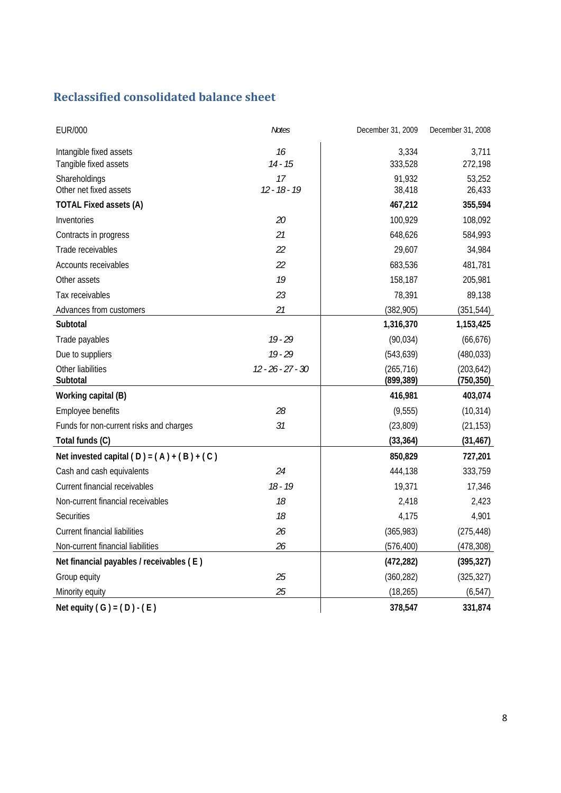# **Reclassified consolidated balance sheet**

| <b>EUR/000</b>                               | <b>Notes</b>        | December 31, 2009        | December 31, 2008        |
|----------------------------------------------|---------------------|--------------------------|--------------------------|
| Intangible fixed assets                      | 16                  | 3,334                    | 3,711                    |
| Tangible fixed assets                        | $14 - 15$           | 333,528                  | 272,198                  |
| Shareholdings                                | 17                  | 91,932                   | 53,252                   |
| Other net fixed assets                       | $12 - 18 - 19$      | 38,418                   | 26,433                   |
| <b>TOTAL Fixed assets (A)</b>                |                     | 467,212                  | 355,594                  |
| Inventories                                  | 20                  | 100,929                  | 108,092                  |
| Contracts in progress                        | 21                  | 648,626                  | 584,993                  |
| Trade receivables                            | 22                  | 29,607                   | 34,984                   |
| Accounts receivables                         | 22                  | 683,536                  | 481,781                  |
| Other assets                                 | 19                  | 158,187                  | 205,981                  |
| Tax receivables                              | 23                  | 78,391                   | 89,138                   |
| Advances from customers                      | 21                  | (382, 905)               | (351, 544)               |
| Subtotal                                     |                     | 1,316,370                | 1,153,425                |
| Trade payables                               | $19 - 29$           | (90, 034)                | (66, 676)                |
| Due to suppliers                             | $19 - 29$           | (543, 639)               | (480, 033)               |
| Other liabilities<br>Subtotal                | $12 - 26 - 27 - 30$ | (265, 716)<br>(899, 389) | (203, 642)<br>(750, 350) |
| Working capital (B)                          |                     | 416,981                  | 403,074                  |
| Employee benefits                            | 28                  | (9, 555)                 | (10, 314)                |
| Funds for non-current risks and charges      | 31                  | (23, 809)                | (21, 153)                |
| Total funds (C)                              |                     | (33, 364)                | (31, 467)                |
| Net invested capital $(D) = (A) + (B) + (C)$ |                     | 850,829                  | 727,201                  |
| Cash and cash equivalents                    | 24                  | 444,138                  | 333,759                  |
| Current financial receivables                | $18 - 19$           | 19,371                   | 17,346                   |
| Non-current financial receivables            | 18                  | 2,418                    | 2,423                    |
| <b>Securities</b>                            | 18                  | 4,175                    | 4,901                    |
| <b>Current financial liabilities</b>         | 26                  | (365, 983)               | (275, 448)               |
| Non-current financial liabilities            | 26                  | (576, 400)               | (478, 308)               |
| Net financial payables / receivables (E)     |                     | (472, 282)               | (395, 327)               |
| Group equity                                 | 25                  | (360, 282)               | (325, 327)               |
| Minority equity                              | 25                  | (18, 265)                | (6, 547)                 |
| Net equity $(G) = (D) - (E)$                 |                     | 378,547                  | 331,874                  |